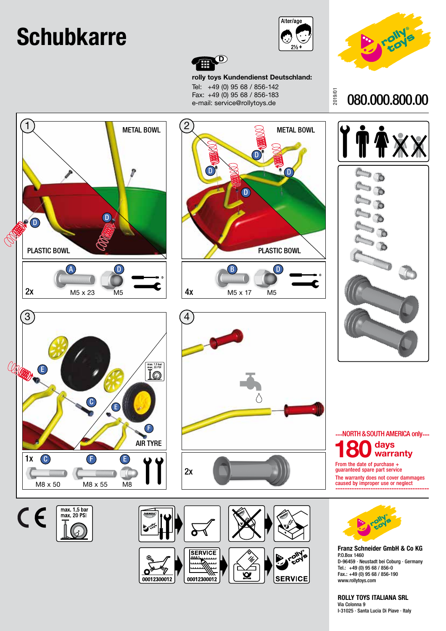## **Schubkarre**



2019/01



080.000.800.00



**rolly toys Kundendienst Deutschland:** Tel: +49 (0) 95 68 / 856-142 Fax: +49 (0) 95 68 / 856-183 e-mail: service@rollytoys.de









**Franz Schneider GmbH & Co KG** P.O.Box 1460 D-96459 · Neustadt bei Coburg · Germany Tel.: +49 (0) 95 68 / 856-0 Fax.: +49 (0) 95 68 / 856-190 www.rollytoys.com

**ROLLY TOYS ITALIANA SRL**

Via Colonna 9 I-31025 · Santa Lucia Di Piave · Italy